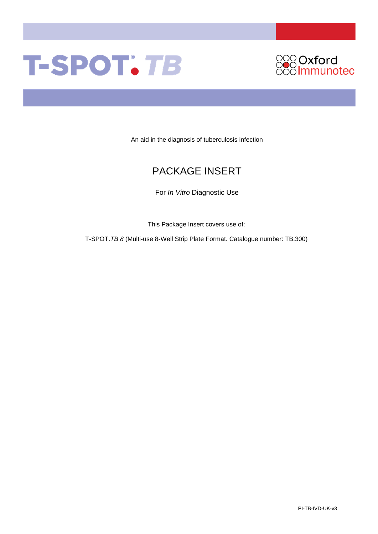# T-SPOT. TB



An aid in the diagnosis of tuberculosis infection

# PACKAGE INSERT

For *In Vitro* Diagnostic Use

This Package Insert covers use of:

T-SPOT.*TB 8* (Multi-use 8-Well Strip Plate Format. Catalogue number: TB.300)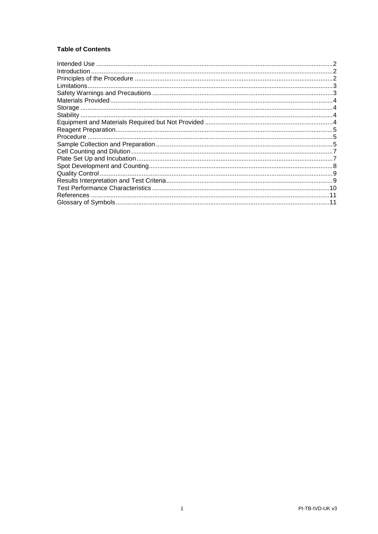# **Table of Contents**

| Introduction |  |
|--------------|--|
|              |  |
|              |  |
|              |  |
|              |  |
|              |  |
|              |  |
|              |  |
|              |  |
|              |  |
|              |  |
|              |  |
|              |  |
|              |  |
|              |  |
|              |  |
|              |  |
|              |  |
|              |  |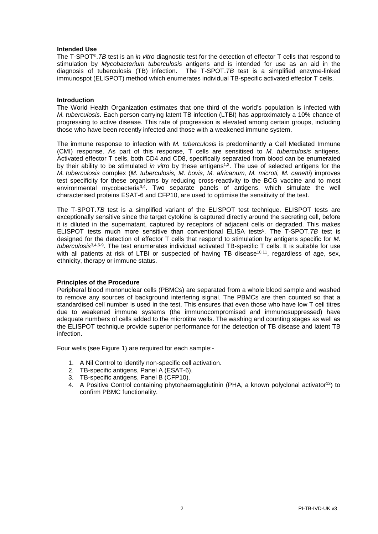#### <span id="page-2-0"></span>**Intended Use**

The T-SPOT®.*TB* test is an *in vitro* diagnostic test for the detection of effector T cells that respond to stimulation by *Mycobacterium tuberculosis* antigens and is intended for use as an aid in the diagnosis of tuberculosis (TB) infection. The T-SPOT.*TB* test is a simplified enzyme-linked immunospot (ELISPOT) method which enumerates individual TB-specific activated effector T cells.

#### <span id="page-2-1"></span>**Introduction**

The World Health Organization estimates that one third of the world's population is infected with *M. tuberculosis*. Each person carrying latent TB infection (LTBI) has approximately a 10% chance of progressing to active disease. This rate of progression is elevated among certain groups, including those who have been recently infected and those with a weakened immune system.

The immune response to infection with *M. tuberculosis* is predominantly a Cell Mediated Immune (CMI) response. As part of this response, T cells are sensitised to *M. tuberculosis* antigens. Activated effector T cells, both CD4 and CD8, specifically separated from blood can be enumerated by their ability to be stimulated *in vitro* by these antigens<sup>1,2</sup>. The use of selected antigens for the *M. tuberculosis* complex (*M. tuberculosis, M. bovis, M. africanum, M. microti, M. canetti*) improves test specificity for these organisms by reducing cross-reactivity to the BCG vaccine and to most environmental mycobacteria<sup>3,4</sup>. Two separate panels of antigens, which simulate the well characterised proteins ESAT-6 and CFP10, are used to optimise the sensitivity of the test.

The T-SPOT.*TB* test is a simplified variant of the ELISPOT test technique. ELISPOT tests are exceptionally sensitive since the target cytokine is captured directly around the secreting cell, before it is diluted in the supernatant, captured by receptors of adjacent cells or degraded. This makes ELISPOT tests much more sensitive than conventional ELISA tests5. The T-SPOT.*TB* test is designed for the detection of effector T cells that respond to stimulation by antigens specific for *M. tuberculosis*3,4,6-9. The test enumerates individual activated TB-specific T cells. It is suitable for use with all patients at risk of LTBI or suspected of having TB disease<sup>10,11</sup>, regardless of age, sex, ethnicity, therapy or immune status.

#### <span id="page-2-2"></span>**Principles of the Procedure**

Peripheral blood mononuclear cells (PBMCs) are separated from a whole blood sample and washed to remove any sources of background interfering signal. The PBMCs are then counted so that a standardised cell number is used in the test. This ensures that even those who have low T cell titres due to weakened immune systems (the immunocompromised and immunosuppressed) have adequate numbers of cells added to the microtitre wells. The washing and counting stages as well as the ELISPOT technique provide superior performance for the detection of TB disease and latent TB infection.

Four wells (see Figure 1) are required for each sample:-

- 1. A Nil Control to identify non-specific cell activation.
- 2. TB-specific antigens, Panel A (ESAT-6).
- 3. TB-specific antigens, Panel B (CFP10).
- 4. A Positive Control containing phytohaemagglutinin (PHA, a known polyclonal activator<sup>12</sup>) to confirm PBMC functionality.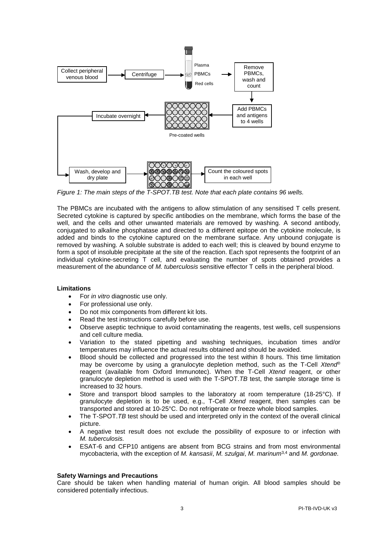

*Figure 1: The main steps of the T-SPOT.TB test. Note that each plate contains 96 wells.*

The PBMCs are incubated with the antigens to allow stimulation of any sensitised T cells present. Secreted cytokine is captured by specific antibodies on the membrane, which forms the base of the well, and the cells and other unwanted materials are removed by washing. A second antibody, conjugated to alkaline phosphatase and directed to a different epitope on the cytokine molecule, is added and binds to the cytokine captured on the membrane surface. Any unbound conjugate is removed by washing. A soluble substrate is added to each well; this is cleaved by bound enzyme to form a spot of insoluble precipitate at the site of the reaction. Each spot represents the footprint of an individual cytokine-secreting T cell, and evaluating the number of spots obtained provides a measurement of the abundance of *M. tuberculosis* sensitive effector T cells in the peripheral blood.

#### <span id="page-3-0"></span>**Limitations**

- For *in vitro* diagnostic use only.
- For professional use only.
- Do not mix components from different kit lots.
- Read the test instructions carefully before use.
- Observe aseptic technique to avoid contaminating the reagents, test wells, cell suspensions and cell culture media.
- Variation to the stated pipetting and washing techniques, incubation times and/or temperatures may influence the actual results obtained and should be avoided.
- Blood should be collected and progressed into the test within 8 hours. This time limitation may be overcome by using a granulocyte depletion method, such as the T-Cell *Xtend*® reagent (available from Oxford Immunotec). When the T-Cell *Xtend* reagent, or other granulocyte depletion method is used with the T-SPOT.*TB* test, the sample storage time is increased to 32 hours.
- Store and transport blood samples to the laboratory at room temperature (18-25 $\degree$ C). If granulocyte depletion is to be used, e.g., T-Cell *Xtend* reagent, then samples can be transported and stored at 10-25°C. Do not refrigerate or freeze whole blood samples.
- The T-SPOT.*TB* test should be used and interpreted only in the context of the overall clinical picture.
- A negative test result does not exclude the possibility of exposure to or infection with *M. tuberculosis.*
- ESAT-6 and CFP10 antigens are absent from BCG strains and from most environmental mycobacteria, with the exception of *M. kansasii*, *M. szulgai*, *M. marinum*3,4 and *M. gordonae.*

#### <span id="page-3-1"></span>**Safety Warnings and Precautions**

Care should be taken when handling material of human origin. All blood samples should be considered potentially infectious.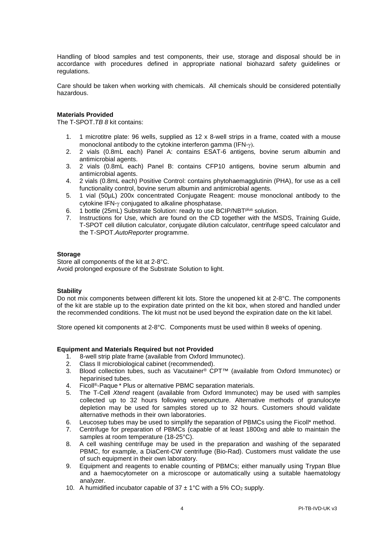Handling of blood samples and test components, their use, storage and disposal should be in accordance with procedures defined in appropriate national biohazard safety guidelines or regulations.

Care should be taken when working with chemicals. All chemicals should be considered potentially hazardous.

#### <span id="page-4-0"></span>**Materials Provided**

The T-SPOT.*TB 8* kit contains:

- 1. 1 microtitre plate: 96 wells, supplied as 12 x 8-well strips in a frame, coated with a mouse monoclonal antibody to the cytokine interferon gamma (IFN-γ).
- 2. 2 vials (0.8mL each) Panel A: contains ESAT-6 antigens*,* bovine serum albumin and antimicrobial agents.
- 3. 2 vials (0.8mL each) Panel B: contains CFP10 antigens*,* bovine serum albumin and antimicrobial agents.
- 4. 2 vials (0.8mL each) Positive Control: contains phytohaemagglutinin (PHA), for use as a cell functionality control, bovine serum albumin and antimicrobial agents.
- 5. 1 vial (50µL) 200x concentrated Conjugate Reagent: mouse monoclonal antibody to the cytokine IFN-γ conjugated to alkaline phosphatase.
- 6. 1 bottle (25mL) Substrate Solution: ready to use BCIP/NBTplus solution.
- 7. Instructions for Use, which are found on the CD together with the MSDS, Training Guide, T-SPOT cell dilution calculator, conjugate dilution calculator, centrifuge speed calculator and the T-SPOT.*AutoReporter* programme.

#### <span id="page-4-1"></span>**Storage**

Store all components of the kit at 2-8°C. Avoid prolonged exposure of the Substrate Solution to light.

#### <span id="page-4-2"></span>**Stability**

Do not mix components between different kit lots. Store the unopened kit at 2-8°C. The components of the kit are stable up to the expiration date printed on the kit box, when stored and handled under the recommended conditions. The kit must not be used beyond the expiration date on the kit label.

Store opened kit components at 2-8°C. Components must be used within 8 weeks of opening.

#### <span id="page-4-3"></span>**Equipment and Materials Required but not Provided**

- 1. 8-well strip plate frame (available from Oxford Immunotec).
- 2. Class II microbiological cabinet (recommended).
- 3. Blood collection tubes, such as Vacutainer® CPT™ (available from Oxford Immunotec) or heparinised tubes.
- 4. Ficoll ®-Paque \* Plus or alternative PBMC separation materials.
- 5. The T-Cell *Xtend* reagent (available from Oxford Immunotec) may be used with samples collected up to 32 hours following venepuncture. Alternative methods of granulocyte depletion may be used for samples stored up to 32 hours. Customers should validate alternative methods in their own laboratories.
- 6. Leucosep tubes may be used to simplify the separation of PBMCs using the Ficoll\* method.<br>6. Centrifuge for preparation of PBMCs (capable of at least 1800xg and able to maintain th
- 7. Centrifuge for preparation of PBMCs (capable of at least 1800xg and able to maintain the samples at room temperature (18-25°C).
- 8. A cell washing centrifuge may be used in the preparation and washing of the separated PBMC, for example, a DiaCent-CW centrifuge (Bio-Rad). Customers must validate the use of such equipment in their own laboratory.
- 9. Equipment and reagents to enable counting of PBMCs; either manually using Trypan Blue and a haemocytometer on a microscope or automatically using a suitable haematology analyzer.
- 10. A humidified incubator capable of  $37 \pm 1^{\circ}$ C with a 5% CO<sub>2</sub> supply.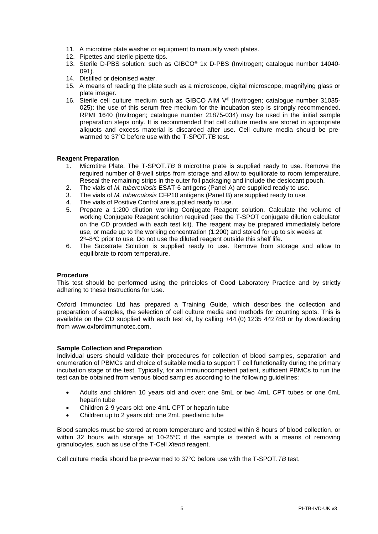- 11. A microtitre plate washer or equipment to manually wash plates.
- 12. Pipettes and sterile pipette tips.
- 13. Sterile D-PBS solution: such as GIBCO® 1x D-PBS (Invitrogen; catalogue number 14040- 091).
- 14. Distilled or deionised water.
- 15. A means of reading the plate such as a microscope, digital microscope, magnifying glass or plate imager.
- 16. Sterile cell culture medium such as GIBCO AIM V® (Invitrogen; catalogue number 31035- 025): the use of this serum free medium for the incubation step is strongly recommended. RPMI 1640 (Invitrogen; catalogue number 21875-034) may be used in the initial sample preparation steps only. It is recommended that cell culture media are stored in appropriate aliquots and excess material is discarded after use. Cell culture media should be prewarmed to 37°C before use with the T-SPOT*.TB* test.

#### <span id="page-5-0"></span>**Reagent Preparation**

- 1. Microtitre Plate. The T-SPOT.*TB 8* microtitre plate is supplied ready to use. Remove the required number of 8-well strips from storage and allow to equilibrate to room temperature. Reseal the remaining strips in the outer foil packaging and include the desiccant pouch.
- 2. The vials of *M. tuberculosis* ESAT-6 antigens (Panel A) are supplied ready to use.
- 3. The vials of *M. tuberculosis* CFP10 antigens (Panel B) are supplied ready to use.
- 4. The vials of Positive Control are supplied ready to use.
- 5. Prepare a 1:200 dilution working Conjugate Reagent solution. Calculate the volume of working Conjugate Reagent solution required (see the T-SPOT conjugate dilution calculator on the CD provided with each test kit). The reagent may be prepared immediately before use, or made up to the working concentration (1:200) and stored for up to six weeks at 2<sup>o</sup>-8<sup>o</sup>C prior to use. Do not use the diluted reagent outside this shelf life.
- 6. The Substrate Solution is supplied ready to use. Remove from storage and allow to equilibrate to room temperature.

#### <span id="page-5-1"></span>**Procedure**

This test should be performed using the principles of Good Laboratory Practice and by strictly adhering to these Instructions for Use.

Oxford Immunotec Ltd has prepared a Training Guide, which describes the collection and preparation of samples, the selection of cell culture media and methods for counting spots. This is available on the CD supplied with each test kit, by calling +44 (0) 1235 442780 or by downloading from [www.oxfordimmunotec.com.](http://www.oxfordimmunotec.com/)

#### <span id="page-5-2"></span>**Sample Collection and Preparation**

Individual users should validate their procedures for collection of blood samples, separation and enumeration of PBMCs and choice of suitable media to support T cell functionality during the primary incubation stage of the test. Typically, for an immunocompetent patient, sufficient PBMCs to run the test can be obtained from venous blood samples according to the following guidelines:

- Adults and children 10 years old and over: one 8mL or two 4mL CPT tubes or one 6mL heparin tube
- Children 2-9 years old: one 4mL CPT or heparin tube
- Children up to 2 years old: one 2mL paediatric tube

Blood samples must be stored at room temperature and tested within 8 hours of blood collection, or within 32 hours with storage at 10-25°C if the sample is treated with a means of removing granulocytes, such as use of the T-Cell *Xtend* reagent.

Cell culture media should be pre-warmed to 37°C before use with the T-SPOT*.TB* test.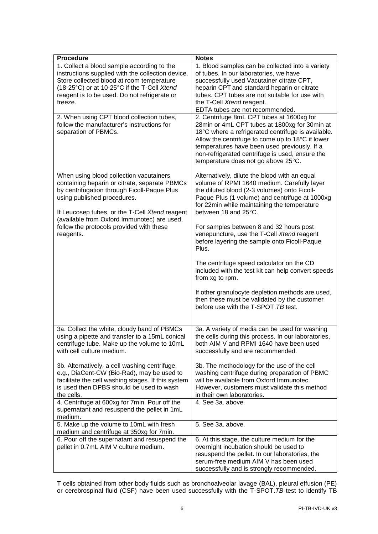| <b>Procedure</b>                                                                        | <b>Notes</b>                                                                                                                                                                                                                                                                                      |
|-----------------------------------------------------------------------------------------|---------------------------------------------------------------------------------------------------------------------------------------------------------------------------------------------------------------------------------------------------------------------------------------------------|
| 1. Collect a blood sample according to the                                              | 1. Blood samples can be collected into a variety                                                                                                                                                                                                                                                  |
| instructions supplied with the collection device.                                       | of tubes. In our laboratories, we have                                                                                                                                                                                                                                                            |
| Store collected blood at room temperature                                               | successfully used Vacutainer citrate CPT,                                                                                                                                                                                                                                                         |
| (18-25°C) or at 10-25°C if the T-Cell Xtend                                             | heparin CPT and standard heparin or citrate                                                                                                                                                                                                                                                       |
| reagent is to be used. Do not refrigerate or                                            | tubes. CPT tubes are not suitable for use with                                                                                                                                                                                                                                                    |
| freeze.                                                                                 | the T-Cell Xtend reagent.                                                                                                                                                                                                                                                                         |
|                                                                                         | EDTA tubes are not recommended.                                                                                                                                                                                                                                                                   |
| 2. When using CPT blood collection tubes,                                               | 2. Centrifuge 8mL CPT tubes at 1600xg for                                                                                                                                                                                                                                                         |
| follow the manufacturer's instructions for<br>separation of PBMCs.                      | 28min or 4mL CPT tubes at 1800xg for 30min at<br>18°C where a refrigerated centrifuge is available.<br>Allow the centrifuge to come up to 18°C if lower<br>temperatures have been used previously. If a<br>non-refrigerated centrifuge is used, ensure the<br>temperature does not go above 25°C. |
| When using blood collection vacutainers                                                 | Alternatively, dilute the blood with an equal                                                                                                                                                                                                                                                     |
| containing heparin or citrate, separate PBMCs                                           | volume of RPMI 1640 medium. Carefully layer                                                                                                                                                                                                                                                       |
| by centrifugation through Ficoll-Paque Plus                                             | the diluted blood (2-3 volumes) onto Ficoll-                                                                                                                                                                                                                                                      |
| using published procedures.                                                             | Paque Plus (1 volume) and centrifuge at 1000xg                                                                                                                                                                                                                                                    |
|                                                                                         | for 22min while maintaining the temperature                                                                                                                                                                                                                                                       |
| If Leucosep tubes, or the T-Cell Xtend reagent                                          | between 18 and 25°C.                                                                                                                                                                                                                                                                              |
| (available from Oxford Immunotec) are used,<br>follow the protocols provided with these | For samples between 8 and 32 hours post                                                                                                                                                                                                                                                           |
| reagents.                                                                               | venepuncture, use the T-Cell Xtend reagent                                                                                                                                                                                                                                                        |
|                                                                                         | before layering the sample onto Ficoll-Paque                                                                                                                                                                                                                                                      |
|                                                                                         | Plus.                                                                                                                                                                                                                                                                                             |
|                                                                                         |                                                                                                                                                                                                                                                                                                   |
|                                                                                         | The centrifuge speed calculator on the CD<br>included with the test kit can help convert speeds<br>from xg to rpm.                                                                                                                                                                                |
|                                                                                         |                                                                                                                                                                                                                                                                                                   |
|                                                                                         | If other granulocyte depletion methods are used,                                                                                                                                                                                                                                                  |
|                                                                                         | then these must be validated by the customer                                                                                                                                                                                                                                                      |
|                                                                                         | before use with the T-SPOT. TB test.                                                                                                                                                                                                                                                              |
|                                                                                         |                                                                                                                                                                                                                                                                                                   |
| 3a. Collect the white, cloudy band of PBMCs                                             | 3a. A variety of media can be used for washing                                                                                                                                                                                                                                                    |
| using a pipette and transfer to a 15mL conical                                          | the cells during this process. In our laboratories,                                                                                                                                                                                                                                               |
| centrifuge tube. Make up the volume to 10mL                                             | both AIM V and RPMI 1640 have been used                                                                                                                                                                                                                                                           |
| with cell culture medium.                                                               | successfully and are recommended.                                                                                                                                                                                                                                                                 |
|                                                                                         |                                                                                                                                                                                                                                                                                                   |
| 3b. Alternatively, a cell washing centrifuge,                                           | 3b. The methodology for the use of the cell                                                                                                                                                                                                                                                       |
| e.g., DiaCent-CW (Bio-Rad), may be used to                                              | washing centrifuge during preparation of PBMC                                                                                                                                                                                                                                                     |
| facilitate the cell washing stages. If this system                                      | will be available from Oxford Immunotec.                                                                                                                                                                                                                                                          |
| is used then DPBS should be used to wash                                                | However, customers must validate this method                                                                                                                                                                                                                                                      |
| the cells.                                                                              | in their own laboratories.                                                                                                                                                                                                                                                                        |
| 4. Centrifuge at 600xg for 7min. Pour off the                                           | 4. See 3a. above.                                                                                                                                                                                                                                                                                 |
| supernatant and resuspend the pellet in 1mL                                             |                                                                                                                                                                                                                                                                                                   |
| medium.                                                                                 |                                                                                                                                                                                                                                                                                                   |
| 5. Make up the volume to 10mL with fresh                                                | 5. See 3a. above.                                                                                                                                                                                                                                                                                 |
| medium and centrifuge at 350xg for 7min.                                                |                                                                                                                                                                                                                                                                                                   |
| 6. Pour off the supernatant and resuspend the<br>pellet in 0.7mL AIM V culture medium.  | 6. At this stage, the culture medium for the<br>overnight incubation should be used to                                                                                                                                                                                                            |
|                                                                                         | resuspend the pellet. In our laboratories, the                                                                                                                                                                                                                                                    |
|                                                                                         | serum-free medium AIM V has been used                                                                                                                                                                                                                                                             |
|                                                                                         | successfully and is strongly recommended.                                                                                                                                                                                                                                                         |

T cells obtained from other body fluids such as bronchoalveolar lavage (BAL), pleural effusion (PE) or cerebrospinal fluid (CSF) have been used successfully with the T-SPOT.*TB* test to identify TB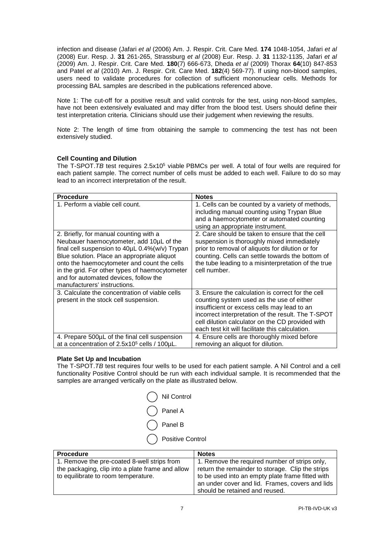infection and disease (Jafari *et al* (2006) Am. J. Respir. Crit. Care Med. **174** 1048-1054, Jafari *et al* (2008) Eur. Resp. J. **31** 261-265, Strassburg *et al* (2008) Eur. Resp. J. **31** 1132-1135, Jafari *et al* (2009) Am. J. Respir. Crit. Care Med. **180**(7) 666-673, Dheda *et al* (2009) Thorax **64**(10) 847-853 and Patel *et al* (2010) Am. J. Respir. Crit. Care Med. **182**(4) 569-77). If using non-blood samples, users need to validate procedures for collection of sufficient mononuclear cells. Methods for processing BAL samples are described in the publications referenced above.

Note 1: The cut-off for a positive result and valid controls for the test, using non-blood samples, have not been extensively evaluated and may differ from the blood test. Users should define their test interpretation criteria. Clinicians should use their judgement when reviewing the results.

Note 2: The length of time from obtaining the sample to commencing the test has not been extensively studied.

#### <span id="page-7-0"></span>**Cell Counting and Dilution**

The T-SPOT. TB test requires 2.5x10<sup>5</sup> viable PBMCs per well. A total of four wells are required for each patient sample. The correct number of cells must be added to each well. Failure to do so may lead to an incorrect interpretation of the result.

| <b>Procedure</b>                                                                                                                                                                                                                                                                                                                                              | <b>Notes</b>                                                                                                                                                                                                                                                                                               |
|---------------------------------------------------------------------------------------------------------------------------------------------------------------------------------------------------------------------------------------------------------------------------------------------------------------------------------------------------------------|------------------------------------------------------------------------------------------------------------------------------------------------------------------------------------------------------------------------------------------------------------------------------------------------------------|
| 1. Perform a viable cell count.                                                                                                                                                                                                                                                                                                                               | 1. Cells can be counted by a variety of methods,<br>including manual counting using Trypan Blue<br>and a haemocytometer or automated counting<br>using an appropriate instrument.                                                                                                                          |
| 2. Briefly, for manual counting with a<br>Neubauer haemocytometer, add 10µL of the<br>final cell suspension to 40µL 0.4%(w/v) Trypan<br>Blue solution. Place an appropriate aliquot<br>onto the haemocytometer and count the cells<br>in the grid. For other types of haemocytometer<br>and for automated devices, follow the<br>manufacturers' instructions. | 2. Care should be taken to ensure that the cell<br>suspension is thoroughly mixed immediately<br>prior to removal of aliquots for dilution or for<br>counting. Cells can settle towards the bottom of<br>the tube leading to a misinterpretation of the true<br>cell number.                               |
| 3. Calculate the concentration of viable cells<br>present in the stock cell suspension.                                                                                                                                                                                                                                                                       | 3. Ensure the calculation is correct for the cell<br>counting system used as the use of either<br>insufficient or excess cells may lead to an<br>incorrect interpretation of the result. The T-SPOT<br>cell dilution calculator on the CD provided with<br>each test kit will facilitate this calculation. |
| 4. Prepare 500µL of the final cell suspension<br>at a concentration of 2.5x10 <sup>5</sup> cells / 100µL.                                                                                                                                                                                                                                                     | 4. Ensure cells are thoroughly mixed before<br>removing an aliquot for dilution.                                                                                                                                                                                                                           |

#### <span id="page-7-1"></span>**Plate Set Up and Incubation**

The T-SPOT.*TB* test requires four wells to be used for each patient sample. A Nil Control and a cell functionality Positive Control should be run with each individual sample. It is recommended that the samples are arranged vertically on the plate as illustrated below.



| <b>Procedure</b>                                 | <b>Notes</b>                                     |
|--------------------------------------------------|--------------------------------------------------|
| 1. Remove the pre-coated 8-well strips from      | 1. Remove the required number of strips only,    |
| the packaging, clip into a plate frame and allow | return the remainder to storage. Clip the strips |
| to equilibrate to room temperature.              | to be used into an empty plate frame fitted with |
|                                                  | an under cover and lid. Frames, covers and lids  |
|                                                  | should be retained and reused.                   |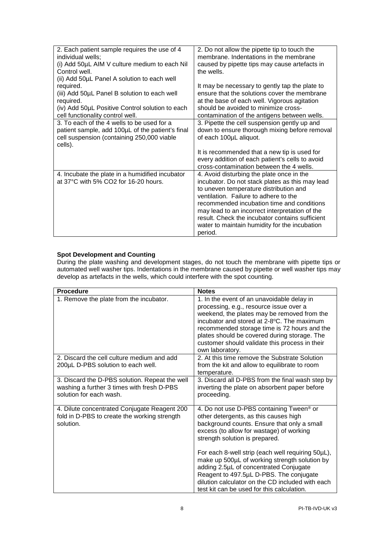| 2. Each patient sample requires the use of 4<br>individual wells; | 2. Do not allow the pipette tip to touch the<br>membrane. Indentations in the membrane |
|-------------------------------------------------------------------|----------------------------------------------------------------------------------------|
|                                                                   |                                                                                        |
| (i) Add 50µL AIM V culture medium to each Nil                     | caused by pipette tips may cause artefacts in                                          |
| Control well.                                                     | the wells.                                                                             |
| (ii) Add 50µL Panel A solution to each well                       |                                                                                        |
| required.                                                         | It may be necessary to gently tap the plate to                                         |
| (iii) Add 50µL Panel B solution to each well                      | ensure that the solutions cover the membrane                                           |
| required.                                                         | at the base of each well. Vigorous agitation                                           |
| (iv) Add 50µL Positive Control solution to each                   | should be avoided to minimize cross-                                                   |
| cell functionality control well.                                  | contamination of the antigens between wells.                                           |
| 3. To each of the 4 wells to be used for a                        | 3. Pipette the cell suspension gently up and                                           |
| patient sample, add 100µL of the patient's final                  | down to ensure thorough mixing before removal                                          |
| cell suspension (containing 250,000 viable                        | of each 100µL aliquot.                                                                 |
| cells).                                                           |                                                                                        |
|                                                                   | It is recommended that a new tip is used for                                           |
|                                                                   | every addition of each patient's cells to avoid                                        |
|                                                                   | cross-contamination between the 4 wells.                                               |
| 4. Incubate the plate in a humidified incubator                   | 4. Avoid disturbing the plate once in the                                              |
| at 37°C with 5% CO2 for 16-20 hours.                              | incubator. Do not stack plates as this may lead                                        |
|                                                                   | to uneven temperature distribution and                                                 |
|                                                                   | ventilation. Failure to adhere to the                                                  |
|                                                                   |                                                                                        |
|                                                                   | recommended incubation time and conditions                                             |
|                                                                   | may lead to an incorrect interpretation of the                                         |
|                                                                   | result. Check the incubator contains sufficient                                        |
|                                                                   | water to maintain humidity for the incubation                                          |
|                                                                   | period.                                                                                |

# <span id="page-8-0"></span>**Spot Development and Counting**

During the plate washing and development stages, do not touch the membrane with pipette tips or automated well washer tips. Indentations in the membrane caused by pipette or well washer tips may develop as artefacts in the wells, which could interfere with the spot counting.

| <b>Procedure</b>                                                                                                        | <b>Notes</b>                                                                                                                                                                                                                                                                                                                                                               |
|-------------------------------------------------------------------------------------------------------------------------|----------------------------------------------------------------------------------------------------------------------------------------------------------------------------------------------------------------------------------------------------------------------------------------------------------------------------------------------------------------------------|
| 1. Remove the plate from the incubator.                                                                                 | 1. In the event of an unavoidable delay in<br>processing, e.g., resource issue over a<br>weekend, the plates may be removed from the<br>incubator and stored at 2-8 °C. The maximum<br>recommended storage time is 72 hours and the<br>plates should be covered during storage. The<br>customer should validate this process in their<br>own laboratory.                   |
| 2. Discard the cell culture medium and add<br>200µL D-PBS solution to each well.                                        | 2. At this time remove the Substrate Solution<br>from the kit and allow to equilibrate to room<br>temperature.                                                                                                                                                                                                                                                             |
| 3. Discard the D-PBS solution. Repeat the well<br>washing a further 3 times with fresh D-PBS<br>solution for each wash. | 3. Discard all D-PBS from the final wash step by<br>inverting the plate on absorbent paper before<br>proceeding.                                                                                                                                                                                                                                                           |
| 4. Dilute concentrated Conjugate Reagent 200<br>fold in D-PBS to create the working strength<br>solution.               | 4. Do not use D-PBS containing Tween <sup>®</sup> or<br>other detergents, as this causes high<br>background counts. Ensure that only a small<br>excess (to allow for wastage) of working<br>strength solution is prepared.<br>For each 8-well strip (each well requiring 50µL),<br>make up 500µL of working strength solution by<br>adding 2.5µL of concentrated Conjugate |
|                                                                                                                         | Reagent to 497.5µL D-PBS. The conjugate<br>dilution calculator on the CD included with each<br>test kit can be used for this calculation.                                                                                                                                                                                                                                  |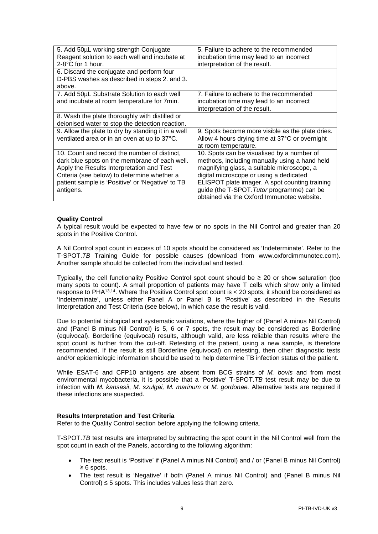| 5. Add 50µL working strength Conjugate<br>Reagent solution to each well and incubate at<br>$2-8$ °C for 1 hour.                                                                                                                                            | 5. Failure to adhere to the recommended<br>incubation time may lead to an incorrect<br>interpretation of the result.                                                                                                                                                                                                               |
|------------------------------------------------------------------------------------------------------------------------------------------------------------------------------------------------------------------------------------------------------------|------------------------------------------------------------------------------------------------------------------------------------------------------------------------------------------------------------------------------------------------------------------------------------------------------------------------------------|
| 6. Discard the conjugate and perform four<br>D-PBS washes as described in steps 2. and 3.<br>above.                                                                                                                                                        |                                                                                                                                                                                                                                                                                                                                    |
| 7. Add 50µL Substrate Solution to each well<br>and incubate at room temperature for 7min.                                                                                                                                                                  | 7. Failure to adhere to the recommended<br>incubation time may lead to an incorrect<br>interpretation of the result.                                                                                                                                                                                                               |
| 8. Wash the plate thoroughly with distilled or<br>deionised water to stop the detection reaction.                                                                                                                                                          |                                                                                                                                                                                                                                                                                                                                    |
| 9. Allow the plate to dry by standing it in a well<br>ventilated area or in an oven at up to 37°C.                                                                                                                                                         | 9. Spots become more visible as the plate dries.<br>Allow 4 hours drying time at 37°C or overnight<br>at room temperature.                                                                                                                                                                                                         |
| 10. Count and record the number of distinct,<br>dark blue spots on the membrane of each well.<br>Apply the Results Interpretation and Test<br>Criteria (see below) to determine whether a<br>patient sample is 'Positive' or 'Negative' to TB<br>antigens. | 10. Spots can be visualised by a number of<br>methods, including manually using a hand held<br>magnifying glass, a suitable microscope, a<br>digital microscope or using a dedicated<br>ELISPOT plate imager. A spot counting training<br>guide (the T-SPOT. Tutor programme) can be<br>obtained via the Oxford Immunotec website. |

#### <span id="page-9-0"></span>**Quality Control**

A typical result would be expected to have few or no spots in the Nil Control and greater than 20 spots in the Positive Control.

A Nil Control spot count in excess of 10 spots should be considered as 'Indeterminate'. Refer to the T-SPOT.*TB* Training Guide for possible causes (download from www.oxfordimmunotec.com). Another sample should be collected from the individual and tested.

Typically, the cell functionality Positive Control spot count should be  $\geq 20$  or show saturation (too many spots to count). A small proportion of patients may have T cells which show only a limited response to PHA13,14. Where the Positive Control spot count is < 20 spots, it should be considered as 'Indeterminate', unless either Panel A or Panel B is 'Positive' as described in the Results Interpretation and Test Criteria (see below), in which case the result is valid.

Due to potential biological and systematic variations, where the higher of (Panel A minus Nil Control) and (Panel B minus Nil Control) is 5, 6 or 7 spots, the result may be considered as Borderline (equivocal). Borderline (equivocal) results, although valid, are less reliable than results where the spot count is further from the cut-off. Retesting of the patient, using a new sample, is therefore recommended. If the result is still Borderline (equivocal) on retesting, then other diagnostic tests and/or epidemiologic information should be used to help determine TB infection status of the patient.

While ESAT-6 and CFP10 antigens are absent from BCG strains of *M. bovis* and from most environmental mycobacteria, it is possible that a 'Positive' T-SPOT.*TB* test result may be due to infection with *M. kansasii*, *M. szulgai, M. marinum* or *M. gordonae.* Alternative tests are required if these infections are suspected.

### <span id="page-9-1"></span>**Results Interpretation and Test Criteria**

Refer to the Quality Control section before applying the following criteria.

T-SPOT.*TB* test results are interpreted by subtracting the spot count in the Nil Control well from the spot count in each of the Panels, according to the following algorithm:

- The test result is 'Positive' if (Panel A minus Nil Control) and / or (Panel B minus Nil Control) ≥ 6 spots.
- The test result is 'Negative' if both (Panel A minus Nil Control) and (Panel B minus Nil Control)  $\leq$  5 spots. This includes values less than zero.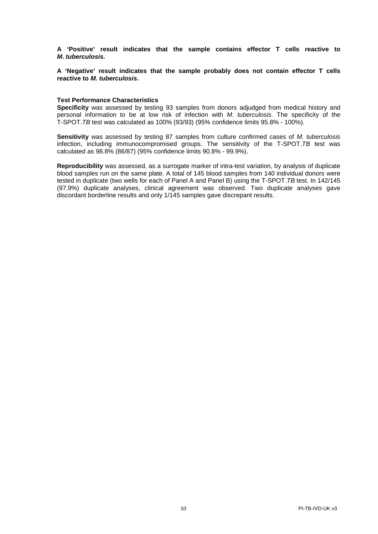**A 'Positive' result indicates that the sample contains effector T cells reactive to**  *M***.** *tuberculosis.*

**A 'Negative' result indicates that the sample probably does not contain effector T cells reactive to** *M. tuberculosis***.**

#### <span id="page-10-0"></span>**Test Performance Characteristics**

**Specificity** was assessed by testing 93 samples from donors adjudged from medical history and personal information to be at low risk of infection with *M. tuberculosis*. The specificity of the T-SPOT.*TB* test was calculated as 100% (93/93) (95% confidence limits 95.8% - 100%).

**Sensitivity** was assessed by testing 87 samples from culture confirmed cases of *M. tuberculosis* infection, including immunocompromised groups. The sensitivity of the T-SPOT.*TB* test was calculated as 98.8% (86/87) (95% confidence limits 90.8% - 99.9%).

<span id="page-10-1"></span>**Reproducibility** was assessed, as a surrogate marker of intra-test variation, by analysis of duplicate blood samples run on the same plate. A total of 145 blood samples from 140 individual donors were tested in duplicate (two wells for each of Panel A and Panel B) using the T-SPOT.*TB* test. In 142/145 (97.9%) duplicate analyses, clinical agreement was observed. Two duplicate analyses gave discordant borderline results and only 1/145 samples gave discrepant results.